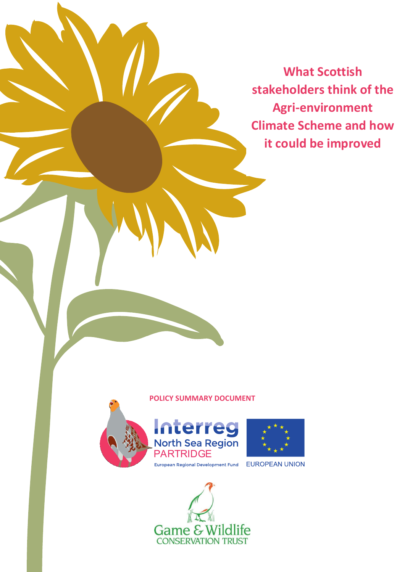**What Scottish stakeholders think of the Agri-environment Climate Scheme and how it could be improved**

#### **POLICY SUMMARY DOCUMENT**





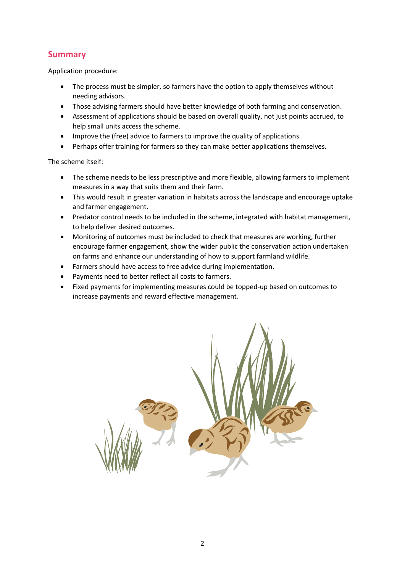## **Summary**

Application procedure:

- The process must be simpler, so farmers have the option to apply themselves without needing advisors.
- Those advising farmers should have better knowledge of both farming and conservation.
- Assessment of applications should be based on overall quality, not just points accrued, to help small units access the scheme.
- Improve the (free) advice to farmers to improve the quality of applications.
- Perhaps offer training for farmers so they can make better applications themselves.

The scheme itself:

- The scheme needs to be less prescriptive and more flexible, allowing farmers to implement measures in a way that suits them and their farm.
- This would result in greater variation in habitats across the landscape and encourage uptake and farmer engagement.
- Predator control needs to be included in the scheme, integrated with habitat management, to help deliver desired outcomes.
- Monitoring of outcomes must be included to check that measures are working, further encourage farmer engagement, show the wider public the conservation action undertaken on farms and enhance our understanding of how to support farmland wildlife.
- Farmers should have access to free advice during implementation.
- Payments need to better reflect all costs to farmers.
- Fixed payments for implementing measures could be topped-up based on outcomes to increase payments and reward effective management.

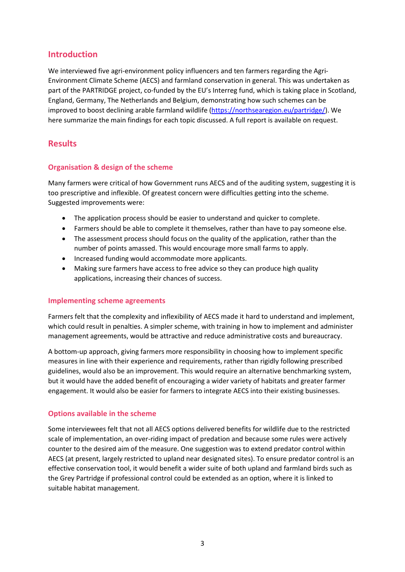## **Introduction**

We interviewed five agri-environment policy influencers and ten farmers regarding the Agri-Environment Climate Scheme (AECS) and farmland conservation in general. This was undertaken as part of the PARTRIDGE project, co-funded by the EU's Interreg fund, which is taking place in Scotland, England, Germany, The Netherlands and Belgium, demonstrating how such schemes can be improved to boost declining arable farmland wildlife (https://northsearegion.eu/partridge/). We here summarize the main findings for each topic discussed. A full report is available on request.

## **Results**

#### **Organisation & design of the scheme**

Many farmers were critical of how Government runs AECS and of the auditing system, suggesting it is too prescriptive and inflexible. Of greatest concern were difficulties getting into the scheme. Suggested improvements were:

- The application process should be easier to understand and quicker to complete.
- Farmers should be able to complete it themselves, rather than have to pay someone else.
- The assessment process should focus on the quality of the application, rather than the number of points amassed. This would encourage more small farms to apply.
- Increased funding would accommodate more applicants.
- Making sure farmers have access to free advice so they can produce high quality applications, increasing their chances of success.

#### **Implementing scheme agreements**

Farmers felt that the complexity and inflexibility of AECS made it hard to understand and implement, which could result in penalties. A simpler scheme, with training in how to implement and administer management agreements, would be attractive and reduce administrative costs and bureaucracy.

A bottom-up approach, giving farmers more responsibility in choosing how to implement specific measures in line with their experience and requirements, rather than rigidly following prescribed guidelines, would also be an improvement. This would require an alternative benchmarking system, but it would have the added benefit of encouraging a wider variety of habitats and greater farmer engagement. It would also be easier for farmers to integrate AECS into their existing businesses.

#### **Options available in the scheme**

Some interviewees felt that not all AECS options delivered benefits for wildlife due to the restricted scale of implementation, an over-riding impact of predation and because some rules were actively counter to the desired aim of the measure. One suggestion was to extend predator control within AECS (at present, largely restricted to upland near designated sites). To ensure predator control is an effective conservation tool, it would benefit a wider suite of both upland and farmland birds such as the Grey Partridge if professional control could be extended as an option, where it is linked to suitable habitat management.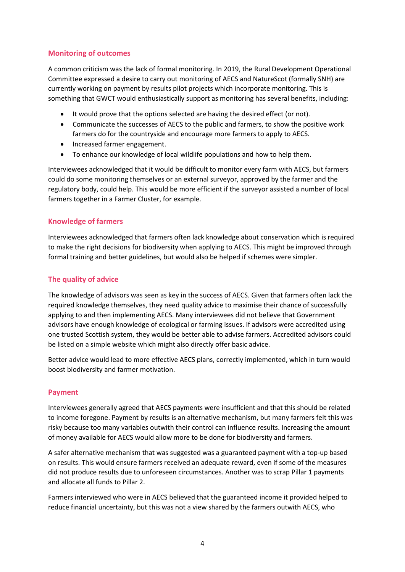#### **Monitoring of outcomes**

A common criticism was the lack of formal monitoring. In 2019, the Rural Development Operational Committee expressed a desire to carry out monitoring of AECS and NatureScot (formally SNH) are currently working on payment by results pilot projects which incorporate monitoring. This is something that GWCT would enthusiastically support as monitoring has several benefits, including:

- It would prove that the options selected are having the desired effect (or not).
- Communicate the successes of AECS to the public and farmers, to show the positive work farmers do for the countryside and encourage more farmers to apply to AECS.
- Increased farmer engagement.
- To enhance our knowledge of local wildlife populations and how to help them.

Interviewees acknowledged that it would be difficult to monitor every farm with AECS, but farmers could do some monitoring themselves or an external surveyor, approved by the farmer and the regulatory body, could help. This would be more efficient if the surveyor assisted a number of local farmers together in a Farmer Cluster, for example.

#### **Knowledge of farmers**

Interviewees acknowledged that farmers often lack knowledge about conservation which is required to make the right decisions for biodiversity when applying to AECS. This might be improved through formal training and better guidelines, but would also be helped if schemes were simpler.

### **The quality of advice**

The knowledge of advisors was seen as key in the success of AECS. Given that farmers often lack the required knowledge themselves, they need quality advice to maximise their chance of successfully applying to and then implementing AECS. Many interviewees did not believe that Government advisors have enough knowledge of ecological or farming issues. If advisors were accredited using one trusted Scottish system, they would be better able to advise farmers. Accredited advisors could be listed on a simple website which might also directly offer basic advice.

Better advice would lead to more effective AECS plans, correctly implemented, which in turn would boost biodiversity and farmer motivation.

#### **Payment**

Interviewees generally agreed that AECS payments were insufficient and that this should be related to income foregone. Payment by results is an alternative mechanism, but many farmers felt this was risky because too many variables outwith their control can influence results. Increasing the amount of money available for AECS would allow more to be done for biodiversity and farmers.

A safer alternative mechanism that was suggested was a guaranteed payment with a top-up based on results. This would ensure farmers received an adequate reward, even if some of the measures did not produce results due to unforeseen circumstances. Another was to scrap Pillar 1 payments and allocate all funds to Pillar 2.

Farmers interviewed who were in AECS believed that the guaranteed income it provided helped to reduce financial uncertainty, but this was not a view shared by the farmers outwith AECS, who